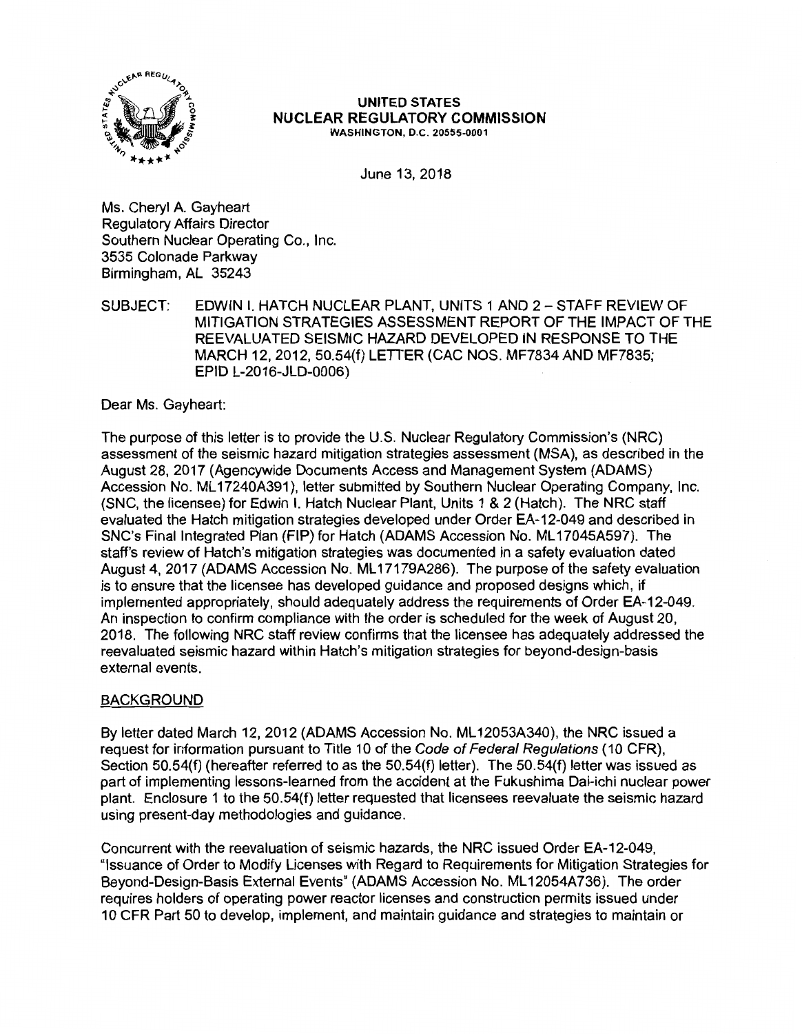

#### **UNITED STATES NUCLEAR REGULATORY COMMISSION WASHINGTON, O.C. 20555-0001**

June 13, 2018

Ms.Cheryl A.Gayheart Regulatory Affairs Director Southern Nuclear Operating Co., Inc. 3535 Colonade Parkway Birmingham, AL 35243

SUBJECT: EDWIN I. HATCH NUCLEAR PLANT, UNITS 1 AND 2- STAFF REVIEW OF MITIGATION STRATEGIES ASSESSMENT REPORT OF THE IMPACT OF THE REEVALUATED SEISMIC HAZARD DEVELOPED IN RESPONSE TO THE MARCH 12, 2012, 50.54(f) LETIER (CAC NOS. MF7834 AND MF7835; EPID L-2016-JLD-0006)

Dear Ms. Gayheart:

The purpose of this letter is to provide the U.S. Nuclear Regulatory Commission's (NRC) assessment of the seismic hazard mitigation strategies assessment (MSA), as described in the August 28, 2017 (Agencywide Documents Access and Management System (ADAMS) Accession No. ML 17240A391 ), letter submitted by Southern Nuclear Operating Company, Inc. (SNC, the licensee) for Edwin I. Hatch Nuclear Plant, Units 1 & 2 (Hatch). The NRC staff evaluated the Hatch mitigation strategies developed under Order EA-12-049 and described in SNC's Final Integrated Plan (FIP) for Hatch (ADAMS Accession No. ML 17045A597). The staff's review of Hatch's mitigation strategies was documented in a safety evaluation dated August 4, 2017 (ADAMS Accession No. ML17179A286). The purpose of the safety evaluation is to ensure that the licensee has developed guidance and proposed designs which, if implemented appropriately, should adequately address the requirements of Order EA-12-049. An inspection to confirm compliance with the order is scheduled for the week of August 20, 2018. The following NRC staff review confirms that the licensee has adequately addressed the reevaluated seismic hazard within Hatch's mitigation strategies for beyond-design-basis external events.

# BACKGROUND

By letter dated March 12, 2012 (ADAMS Accession No. ML 12053A340), the NRC issued a request for information pursuant to Title 10 of the Code of Federal Regulations (10 CFR), Section 50.54(f) (hereafter referred to as the 50.54(f) letter). The 50.54(f) letter was issued as part of implementing lessons-learned from the accident at the Fukushima Dai-ichi nuclear power plant. Enclosure 1 to the 50.54(f) letter requested that licensees reevaluate the seismic hazard using present-day methodologies and guidance.

Concurrent with the reevaluation of seismic hazards, the NRC issued Order EA-12-049, "Issuance of Order to Modify Licenses with Regard to Requirements for Mitigation Strategies for Beyond-Design-Basis External Events" (ADAMS Accession No. ML 12054A736). The order requires holders of operating power reactor licenses and construction permits issued under 1 O CFR Part 50 to develop, implement, and maintain guidance and strategies to maintain or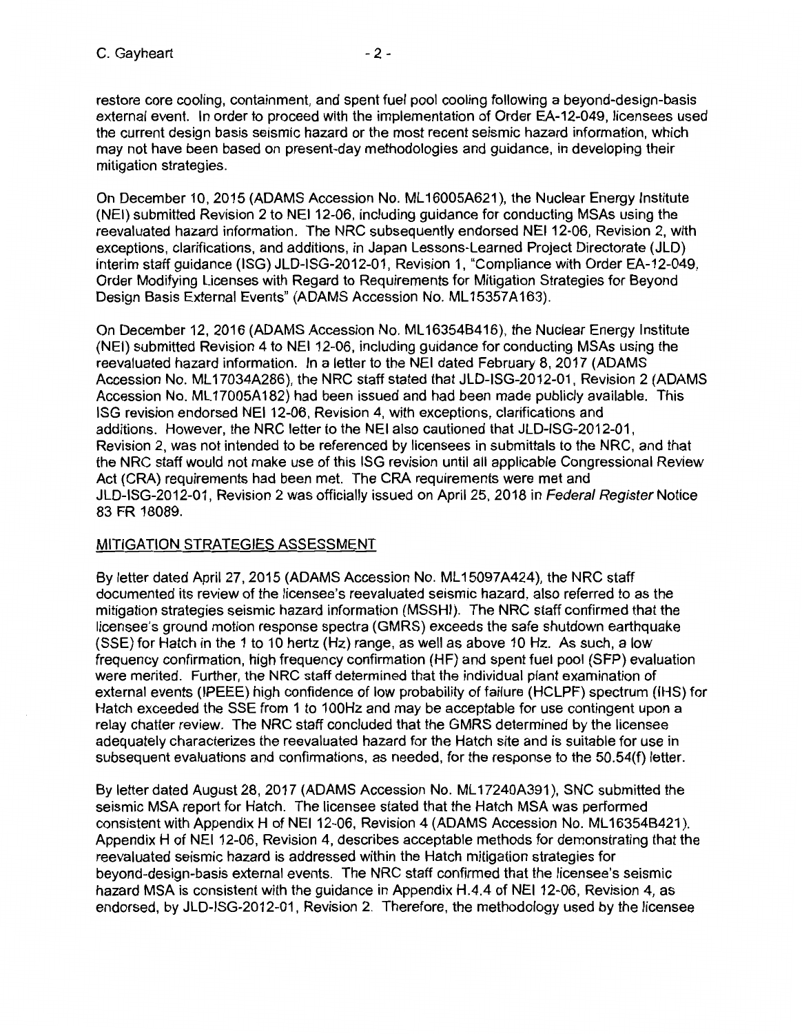restore core cooling, containment, and spent fuel pool cooling following a beyond-design-basis external event. In order to proceed with the implementation of Order EA-12-049, licensees used the current design basis seismic hazard or the most recent seismic hazard information, which may not have been based on present-day methodologies and guidance, in developing their mitigation strategies.

On December 10, 2015 (ADAMS Accession No. ML 16005A621 ), the Nuclear Energy Institute (NEI) submitted Revision 2 to NEI 12-06, including guidance for conducting MSAs using the reevaluated hazard information. The NRC subsequently endorsed NEI 12-06, Revision 2, with exceptions, clarifications, and additions, in Japan Lessons-Learned Project Directorate (JLD) interim staff guidance (ISG) JLD-ISG-2012-01, Revision 1, "Compliance with Order EA-12-049, Order Modifying Licenses with Regard to Requirements for Mitigation Strategies for Beyond Design Basis External Events" (ADAMS Accession No. ML 15357A163).

On December 12, 2016 (ADAMS Accession No. ML 163546416), the Nuclear Energy Institute (NEI) submitted Revision 4 to NEI 12-06, including guidance for conducting MSAs using the reevaluated hazard information. In a letter to the NEI dated February 8, 2017 (ADAMS Accession No. ML 17034A286), the NRC staff stated that JLD-ISG-2012-01, Revision 2 (ADAMS Accession No. ML17005A182) had been issued and had been made publicly available. This ISG revision endorsed NEI 12-06, Revision 4, with exceptions, clarifications and additions. However, the NRC letter to the NEI also cautioned that JLD-ISG-2012-01, Revision 2, was not intended to be referenced by licensees in submittals to the NRC, and that the NRC staff would not make use of this ISG revision until all applicable Congressional Review Act (CRA) requirements had been met. The CRA requirements were met and JLD-ISG-2012-01, Revision 2 was officially issued on April 25, 2018 in Federal Register Notice 83 FR 18089.

# MITIGATION STRATEGIES ASSESSMENT

By letter dated April 27, 2015 (ADAMS Accession No. ML 15097A424), the NRC staff documented its review of the licensee's reevaluated seismic hazard, also referred to as the mitigation strategies seismic hazard information (MSSHI). The NRC staff confirmed that the licensee's ground motion response spectra (GMRS) exceeds the safe shutdown earthquake (SSE) for Hatch in the 1 to 10 hertz (Hz) range, as well as above 10 Hz. As such, a low frequency confirmation, high frequency confirmation (HF) and spent fuel pool (SFP) evaluation were merited. Further, the NRC staff determined that the individual plant examination of external events (IPEEE) high confidence of low probability of failure (HCLPF) spectrum (IHS) for Hatch exceeded the SSE from 1 to 100Hz and may be acceptable for use contingent upon a relay chatter review. The NRC staff concluded that the GMRS determined by the licensee adequately characterizes the reevaluated hazard for the Hatch site and is suitable for use in subsequent evaluations and confirmations, as needed, for the response to the 50.54(f) letter.

By letter dated August 28, 2017 (ADAMS Accession No. ML17240A391), SNC submitted the seismic MSA report for Hatch. The licensee stated that the Hatch MSA was performed consistent with Appendix H of NEI 12-06, Revision 4 (ADAMS Accession No. ML16354B421). Appendix H of NEI 12-06, Revision 4, describes acceptable methods for demonstrating that the reevaluated seismic hazard is addressed within the Hatch mitigation strategies for beyond-design-basis external events. The NRC staff confirmed that the licensee's seismic hazard MSA is consistent with the guidance in Appendix H.4.4 of NEI 12-06, Revision 4, as endorsed, by JLD-ISG-2012-01, Revision 2. Therefore, the methodology used by the licensee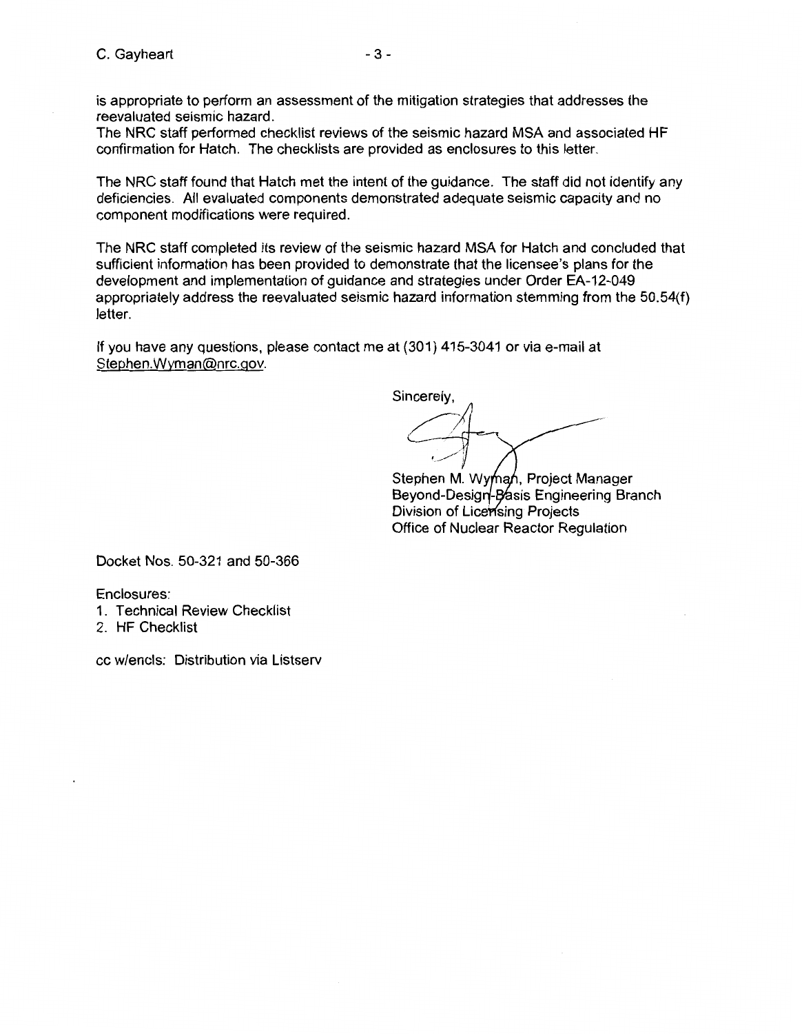is appropriate to perform an assessment of the mitigation strategies that addresses the reevaluated seismic hazard.

The NRC staff performed checklist reviews of the seismic hazard MSA and associated HF confirmation for Hatch. The checklists are provided as enclosures to this letter.

The NRC staff found that Hatch met the intent of the guidance. The staff did not identify any deficiencies. All evaluated components demonstrated adequate seismic capacity and no component modifications were required.

The NRC staff completed its review of the seismic hazard MSA for Hatch and concluded that sufficient information has been provided to demonstrate that the licensee's plans for the development and implementation of guidance and strategies under Order EA-12-049 appropriately address the reevaluated seismic hazard information stemming from the 50.54(f) letter.

If you have any questions, please contact me at (301) 415-3041 or via e-mail at Stephen.Wyman@nrc.gov.

Sincerely, • . .-/··,

Stephen M. Wyman, Project Manager Beyond-Design-Basis Engineering Branch Division of Licensing Projects Office of Nuclear Reactor Regulation

Docket Nos. 50-321 and 50-366

Enclosures:

- 1. Technical Review Checklist
- 2. HF Checklist

cc w/encls: Distribution via Listserv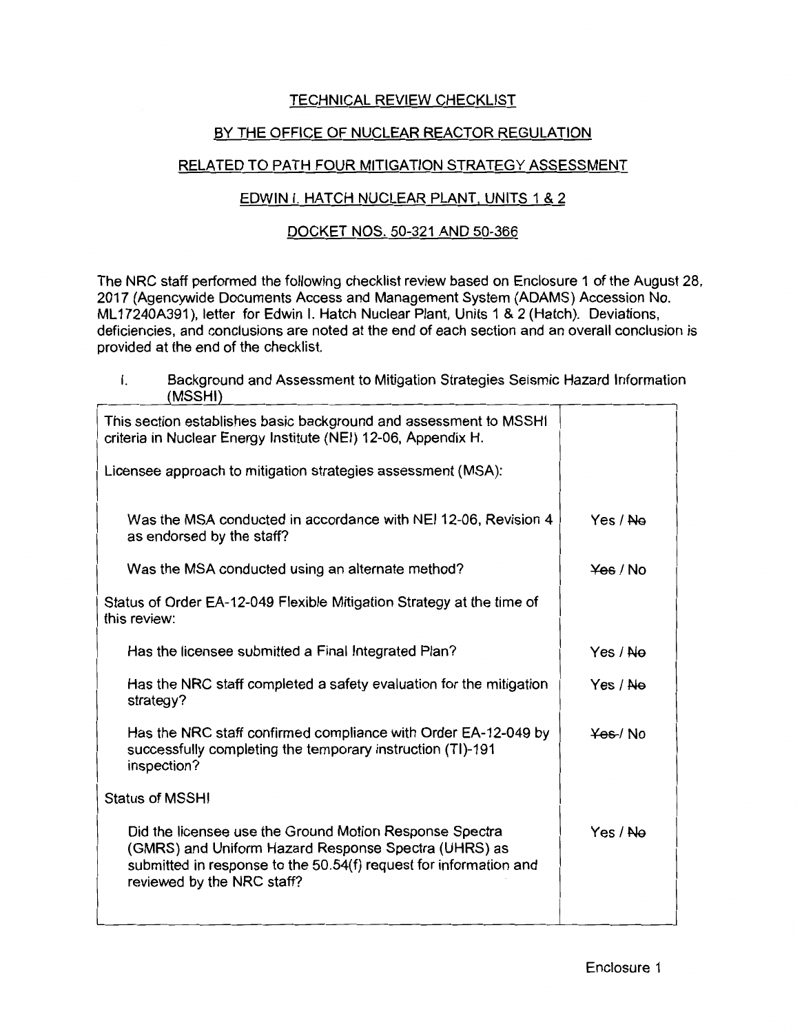# TECHNICAL REVIEW CHECKLIST

# BY THE OFFICE OF NUCLEAR REACTOR REGULATION

# RELATED TO PATH FOUR MITIGATION STRATEGY ASSESSMENT

# EDWIN I. HATCH NUCLEAR PLANT, UNITS 1 & 2

# DOCKET NOS. 50-321 AND 50-366

The NRC staff performed the following checklist review based on Enclosure 1 of the August 28, 2017 (Agencywide Documents Access and Management System (ADAMS) Accession No. ML 17240A391 ), letter for Edwin I. Hatch Nuclear Plant, Units 1 & 2 (Hatch). Deviations, deficiencies, and conclusions are noted at the end of each section and an overall conclusion is provided at the end of the checklist.

I. Background and Assessment to Mitigation Strategies Seismic Hazard Information (MSSHI)

| This section establishes basic background and assessment to MSSHI<br>criteria in Nuclear Energy Institute (NEI) 12-06, Appendix H.                                                                                 |                     |
|--------------------------------------------------------------------------------------------------------------------------------------------------------------------------------------------------------------------|---------------------|
| Licensee approach to mitigation strategies assessment (MSA):                                                                                                                                                       |                     |
| Was the MSA conducted in accordance with NEI 12-06, Revision 4<br>as endorsed by the staff?                                                                                                                        | Yes / No            |
| Was the MSA conducted using an alternate method?                                                                                                                                                                   | $\frac{y}{x}$ / No  |
| Status of Order EA-12-049 Flexible Mitigation Strategy at the time of<br>this review:                                                                                                                              |                     |
| Has the licensee submitted a Final Integrated Plan?                                                                                                                                                                | Yes / <del>No</del> |
| Has the NRC staff completed a safety evaluation for the mitigation<br>strategy?                                                                                                                                    | Yes / Ne            |
| Has the NRC staff confirmed compliance with Order EA-12-049 by<br>successfully completing the temporary instruction (TI)-191<br>inspection?                                                                        | Yes / No            |
| <b>Status of MSSHI</b>                                                                                                                                                                                             |                     |
| Did the licensee use the Ground Motion Response Spectra<br>(GMRS) and Uniform Hazard Response Spectra (UHRS) as<br>submitted in response to the 50.54(f) request for information and<br>reviewed by the NRC staff? | Yes / Ne            |
|                                                                                                                                                                                                                    |                     |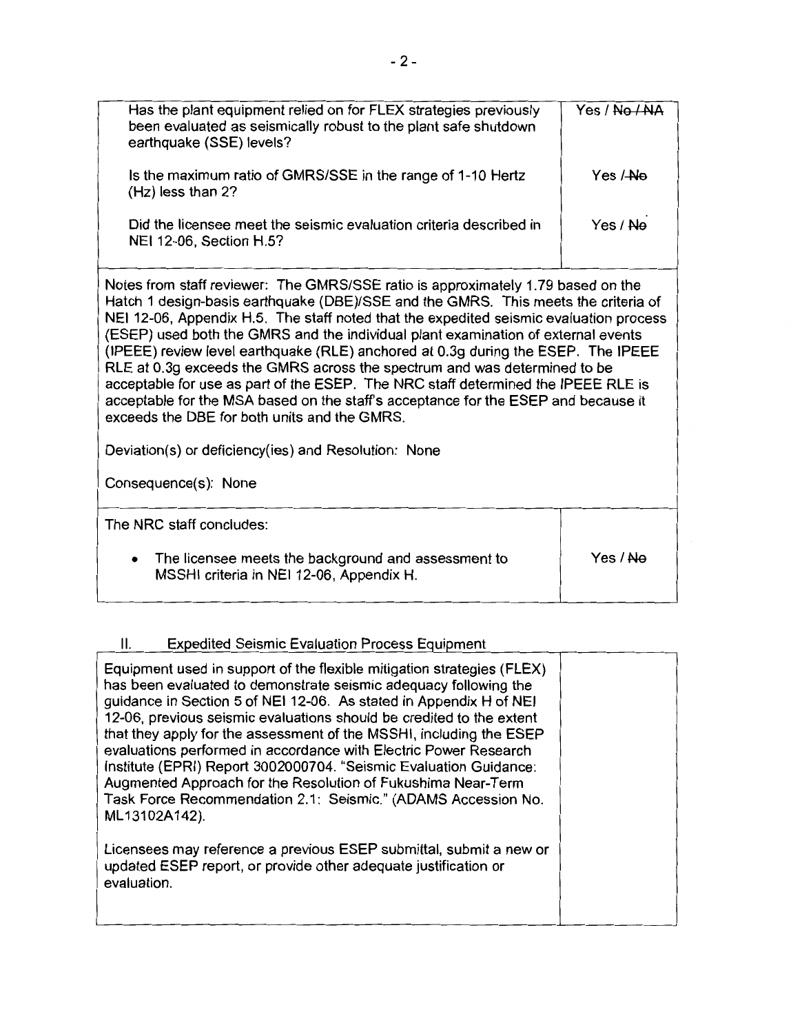| Has the plant equipment relied on for FLEX strategies previously<br>been evaluated as seismically robust to the plant safe shutdown<br>earthquake (SSE) levels?                                                                                                                                                                                                                                                                                                                                                                                                                                                                                                                                                                                                                                                                    | Yes / No / NA |
|------------------------------------------------------------------------------------------------------------------------------------------------------------------------------------------------------------------------------------------------------------------------------------------------------------------------------------------------------------------------------------------------------------------------------------------------------------------------------------------------------------------------------------------------------------------------------------------------------------------------------------------------------------------------------------------------------------------------------------------------------------------------------------------------------------------------------------|---------------|
| Is the maximum ratio of GMRS/SSE in the range of 1-10 Hertz<br>(Hz) less than 2?                                                                                                                                                                                                                                                                                                                                                                                                                                                                                                                                                                                                                                                                                                                                                   | Yes / Ne      |
| Did the licensee meet the seismic evaluation criteria described in<br>NEI 12-06, Section H.5?                                                                                                                                                                                                                                                                                                                                                                                                                                                                                                                                                                                                                                                                                                                                      | Yes / Ne      |
| Notes from staff reviewer: The GMRS/SSE ratio is approximately 1.79 based on the<br>Hatch 1 design-basis earthquake (DBE)/SSE and the GMRS. This meets the criteria of<br>NEI 12-06, Appendix H.5. The staff noted that the expedited seismic evaluation process<br>(ESEP) used both the GMRS and the individual plant examination of external events<br>(IPEEE) review level earthquake (RLE) anchored at 0.3g during the ESEP. The IPEEE<br>RLE at 0.3g exceeds the GMRS across the spectrum and was determined to be<br>acceptable for use as part of the ESEP. The NRC staff determined the IPEEE RLE is<br>acceptable for the MSA based on the staff's acceptance for the ESEP and because it<br>exceeds the DBE for both units and the GMRS.<br>Deviation(s) or deficiency(ies) and Resolution: None<br>Consequence(s): None |               |
| The NRC staff concludes:                                                                                                                                                                                                                                                                                                                                                                                                                                                                                                                                                                                                                                                                                                                                                                                                           |               |
| The licensee meets the background and assessment to                                                                                                                                                                                                                                                                                                                                                                                                                                                                                                                                                                                                                                                                                                                                                                                | Yes / Ne      |

# II. Expedited Seismic Evaluation Process Equipment

MSSHI criteria in NEI 12-06, Appendix H.

| Equipment used in support of the flexible mitigation strategies (FLEX)<br>has been evaluated to demonstrate seismic adequacy following the<br>guidance in Section 5 of NEI 12-06. As stated in Appendix H of NEI<br>12-06, previous seismic evaluations should be credited to the extent<br>that they apply for the assessment of the MSSHI, including the ESEP<br>evaluations performed in accordance with Electric Power Research<br>Institute (EPRI) Report 3002000704. "Seismic Evaluation Guidance:<br>Augmented Approach for the Resolution of Fukushima Near-Term<br>Task Force Recommendation 2.1: Seismic." (ADAMS Accession No.<br>ML13102A142).<br>Licensees may reference a previous ESEP submittal, submit a new or<br>updated ESEP report, or provide other adequate justification or<br>evaluation. |  |
|--------------------------------------------------------------------------------------------------------------------------------------------------------------------------------------------------------------------------------------------------------------------------------------------------------------------------------------------------------------------------------------------------------------------------------------------------------------------------------------------------------------------------------------------------------------------------------------------------------------------------------------------------------------------------------------------------------------------------------------------------------------------------------------------------------------------|--|
|--------------------------------------------------------------------------------------------------------------------------------------------------------------------------------------------------------------------------------------------------------------------------------------------------------------------------------------------------------------------------------------------------------------------------------------------------------------------------------------------------------------------------------------------------------------------------------------------------------------------------------------------------------------------------------------------------------------------------------------------------------------------------------------------------------------------|--|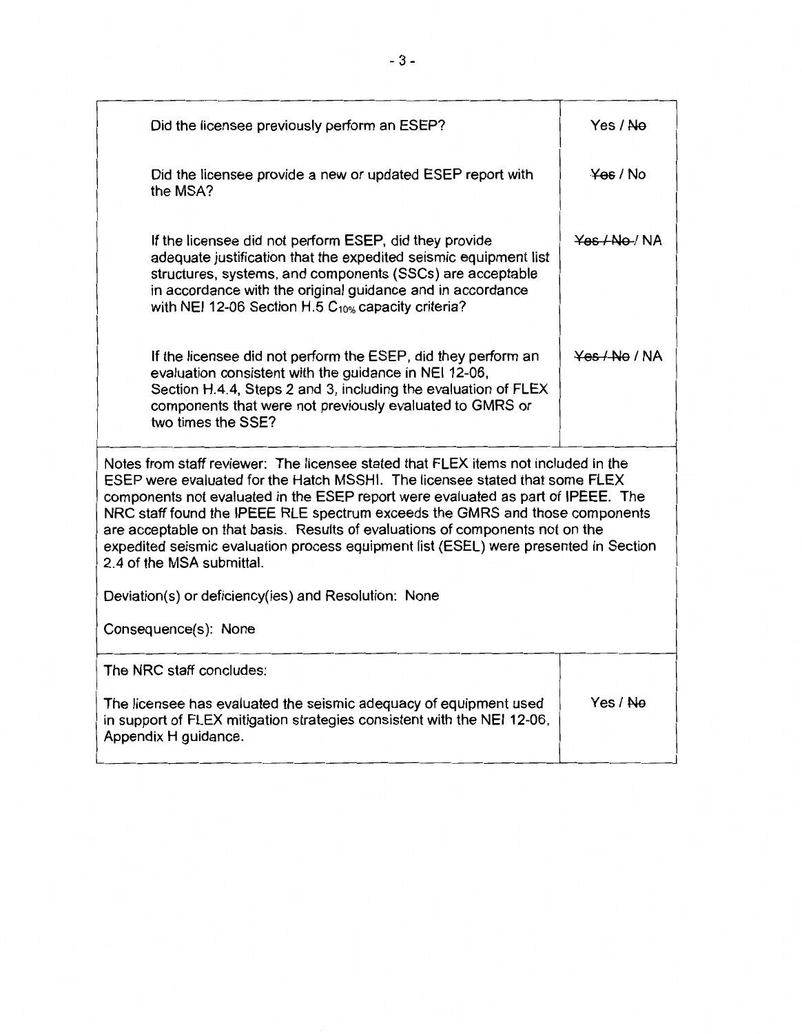| Did the licensee previously perform an ESEP?                                                                                                                                                                                                                                                                                                                                                                                                                                                                                                                                                                                | Yes / Ne           |
|-----------------------------------------------------------------------------------------------------------------------------------------------------------------------------------------------------------------------------------------------------------------------------------------------------------------------------------------------------------------------------------------------------------------------------------------------------------------------------------------------------------------------------------------------------------------------------------------------------------------------------|--------------------|
| Did the licensee provide a new or updated ESEP report with<br>the MSA?                                                                                                                                                                                                                                                                                                                                                                                                                                                                                                                                                      | $\frac{y}{x}$ / No |
| If the licensee did not perform ESEP, did they provide<br>adequate justification that the expedited seismic equipment list<br>structures, systems, and components (SSCs) are acceptable<br>in accordance with the original guidance and in accordance<br>with NEI 12-06 Section H.5 $C_{10\%}$ capacity criteria?                                                                                                                                                                                                                                                                                                           | Yes / No / NA      |
| If the licensee did not perform the ESEP, did they perform an<br>evaluation consistent with the guidance in NEI 12-06,<br>Section H.4.4, Steps 2 and 3, including the evaluation of FLEX<br>components that were not previously evaluated to GMRS or<br>two times the SSE?                                                                                                                                                                                                                                                                                                                                                  | Yes / No / NA      |
| Notes from staff reviewer: The licensee stated that FLEX items not included in the<br>ESEP were evaluated for the Hatch MSSHI. The licensee stated that some FLEX<br>components not evaluated in the ESEP report were evaluated as part of IPEEE. The<br>NRC staff found the IPEEE RLE spectrum exceeds the GMRS and those components<br>are acceptable on that basis. Results of evaluations of components not on the<br>expedited seismic evaluation process equipment list (ESEL) were presented in Section<br>2.4 of the MSA submittal.<br>Deviation(s) or deficiency(ies) and Resolution: None<br>Consequence(s): None |                    |
| The NRC staff concludes:<br>The licensee has evaluated the seismic adequacy of equipment used<br>in support of FLEX mitigation strategies consistent with the NEI 12-06,<br>Appendix H guidance.                                                                                                                                                                                                                                                                                                                                                                                                                            | Yes / Ne           |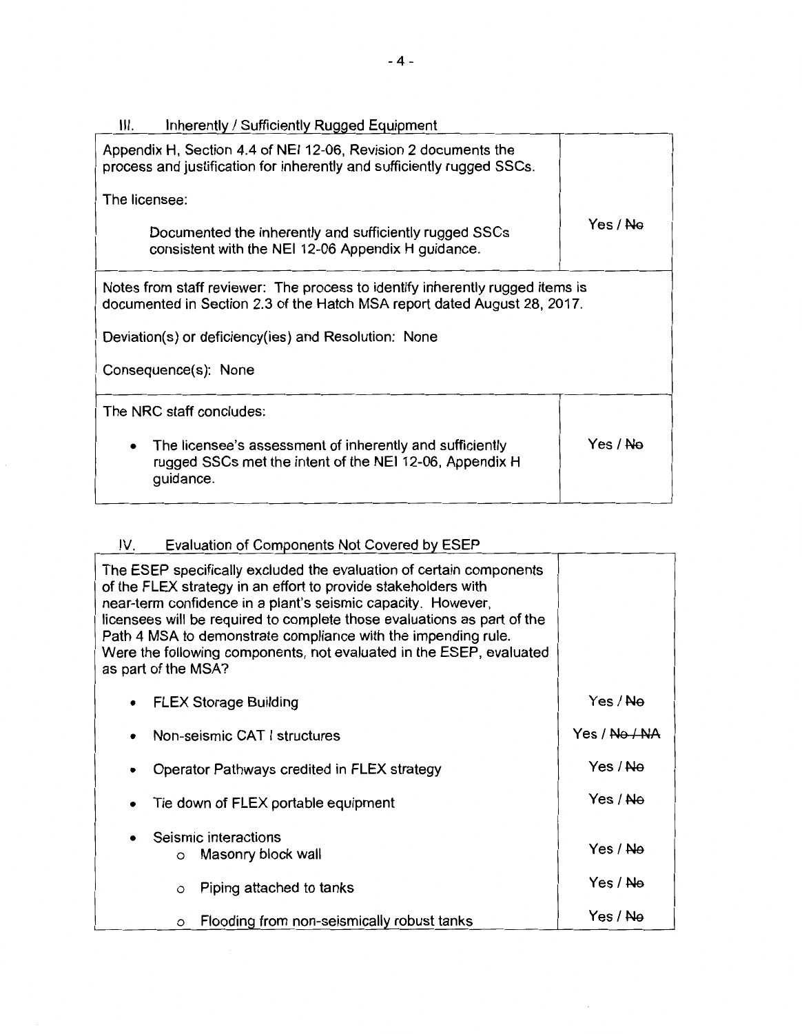| Ш.<br>Inherently / Sufficiently Rugged Equipment                                                                                                          |                     |
|-----------------------------------------------------------------------------------------------------------------------------------------------------------|---------------------|
| Appendix H, Section 4.4 of NEI 12-06, Revision 2 documents the<br>process and justification for inherently and sufficiently rugged SSCs.                  |                     |
| The licensee:                                                                                                                                             |                     |
| Documented the inherently and sufficiently rugged SSCs<br>consistent with the NEI 12-06 Appendix H guidance.                                              | Yes / <del>No</del> |
| Notes from staff reviewer: The process to identify inherently rugged items is<br>documented in Section 2.3 of the Hatch MSA report dated August 28, 2017. |                     |
| Deviation(s) or deficiency(ies) and Resolution: None                                                                                                      |                     |
| Consequence(s): None                                                                                                                                      |                     |
| The NRC staff concludes:                                                                                                                                  |                     |
| The licensee's assessment of inherently and sufficiently<br>rugged SSCs met the intent of the NEI 12-06, Appendix H<br>guidance.                          | Yes / <del>No</del> |

# IV. Evaluation of Components Not Covered by ESEP

| The ESEP specifically excluded the evaluation of certain components<br>of the FLEX strategy in an effort to provide stakeholders with<br>near-term confidence in a plant's seismic capacity. However,<br>licensees will be required to complete those evaluations as part of the<br>Path 4 MSA to demonstrate compliance with the impending rule.<br>Were the following components, not evaluated in the ESEP, evaluated<br>as part of the MSA? |                     |
|-------------------------------------------------------------------------------------------------------------------------------------------------------------------------------------------------------------------------------------------------------------------------------------------------------------------------------------------------------------------------------------------------------------------------------------------------|---------------------|
| <b>FLEX Storage Building</b>                                                                                                                                                                                                                                                                                                                                                                                                                    | Yes / <del>No</del> |
| Non-seismic CAT I structures                                                                                                                                                                                                                                                                                                                                                                                                                    | Yes / No / NA       |
| Operator Pathways credited in FLEX strategy                                                                                                                                                                                                                                                                                                                                                                                                     | Yes / No            |
| Tie down of FLEX portable equipment                                                                                                                                                                                                                                                                                                                                                                                                             | Yes / <del>No</del> |
| Seismic interactions<br>Masonry block wall<br>$\circ$                                                                                                                                                                                                                                                                                                                                                                                           | Yes / <del>No</del> |
| Piping attached to tanks<br>$\circ$                                                                                                                                                                                                                                                                                                                                                                                                             | Yes / <del>No</del> |
| Flooding from non-seismically robust tanks<br>O                                                                                                                                                                                                                                                                                                                                                                                                 | Yes / Ne            |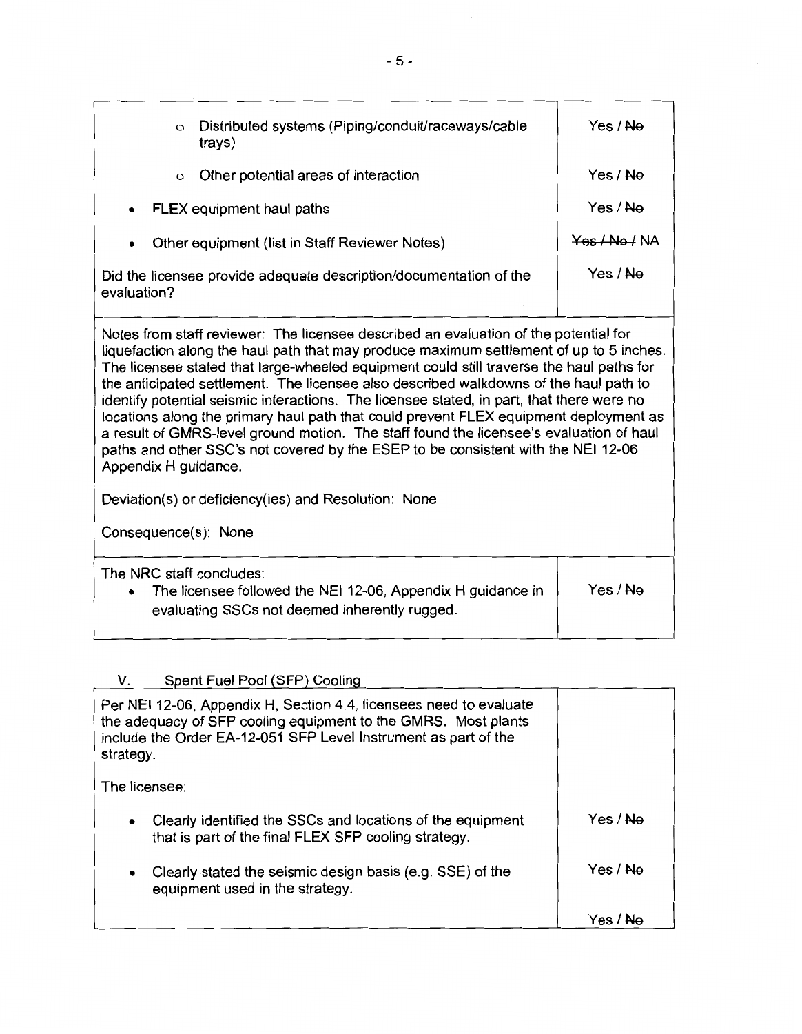| Distributed systems (Piping/conduit/raceways/cable<br>$\circ$<br>trays)                                                                                                                                                                                                                                                                                                                                                                                                                                                                                                                                                                                                                                                                                                                                                                            | Yes / <del>No</del> |
|----------------------------------------------------------------------------------------------------------------------------------------------------------------------------------------------------------------------------------------------------------------------------------------------------------------------------------------------------------------------------------------------------------------------------------------------------------------------------------------------------------------------------------------------------------------------------------------------------------------------------------------------------------------------------------------------------------------------------------------------------------------------------------------------------------------------------------------------------|---------------------|
| Other potential areas of interaction<br>$\circ$                                                                                                                                                                                                                                                                                                                                                                                                                                                                                                                                                                                                                                                                                                                                                                                                    | Yes / No            |
| FLEX equipment haul paths                                                                                                                                                                                                                                                                                                                                                                                                                                                                                                                                                                                                                                                                                                                                                                                                                          | Yes / Ne            |
| Other equipment (list in Staff Reviewer Notes)                                                                                                                                                                                                                                                                                                                                                                                                                                                                                                                                                                                                                                                                                                                                                                                                     | Yes/No/NA           |
| Did the licensee provide adequate description/documentation of the<br>evaluation?                                                                                                                                                                                                                                                                                                                                                                                                                                                                                                                                                                                                                                                                                                                                                                  | Yes / Ne            |
| Notes from staff reviewer: The licensee described an evaluation of the potential for<br>liquefaction along the haul path that may produce maximum settlement of up to 5 inches.<br>The licensee stated that large-wheeled equipment could still traverse the haul paths for<br>the anticipated settlement. The licensee also described walkdowns of the haul path to<br>identify potential seismic interactions. The licensee stated, in part, that there were no<br>locations along the primary haul path that could prevent FLEX equipment deployment as<br>a result of GMRS-level ground motion. The staff found the licensee's evaluation of haul<br>paths and other SSC's not covered by the ESEP to be consistent with the NEI 12-06<br>Appendix H guidance.<br>Deviation(s) or deficiency(ies) and Resolution: None<br>Consequence(s): None |                     |
| The NRC staff concludes:<br>The licensee followed the NEI 12-06, Appendix H guidance in<br>evaluating SSCs not deemed inherently rugged.                                                                                                                                                                                                                                                                                                                                                                                                                                                                                                                                                                                                                                                                                                           | Yes / Ne            |

# V. Spent Fuel Pool (SFP) Cooling

| Per NEI 12-06, Appendix H, Section 4.4, licensees need to evaluate<br>the adequacy of SFP cooling equipment to the GMRS. Most plants<br>include the Order EA-12-051 SFP Level Instrument as part of the<br>strategy. |                     |
|----------------------------------------------------------------------------------------------------------------------------------------------------------------------------------------------------------------------|---------------------|
| The licensee:                                                                                                                                                                                                        |                     |
| Clearly identified the SSCs and locations of the equipment<br>that is part of the final FLEX SFP cooling strategy.                                                                                                   | Yes / <del>No</del> |
| Clearly stated the seismic design basis (e.g. SSE) of the<br>$\bullet$<br>equipment used in the strategy.                                                                                                            | Yes / Ne            |
|                                                                                                                                                                                                                      | Yes / <del>No</del> |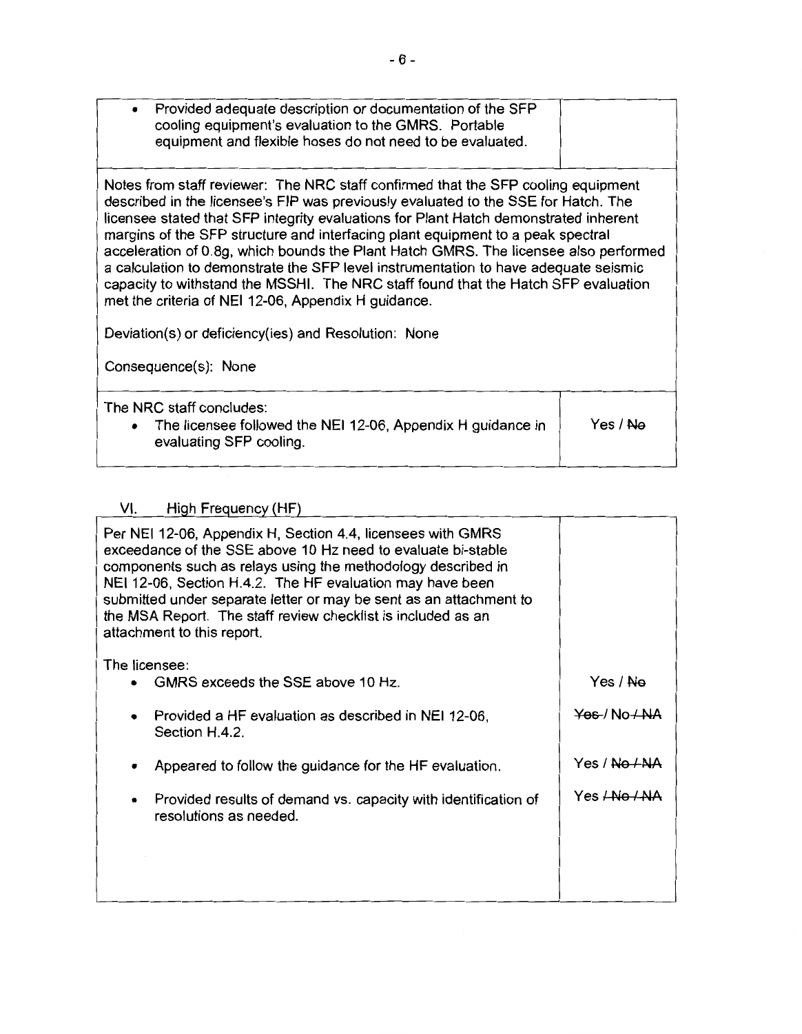| Provided adequate description or documentation of the SFP<br>$\bullet$<br>cooling equipment's evaluation to the GMRS. Portable<br>equipment and flexible hoses do not need to be evaluated.                                                                                                                                                                                                                                                                                                                                                                                                                                                                                                                                                                    |          |
|----------------------------------------------------------------------------------------------------------------------------------------------------------------------------------------------------------------------------------------------------------------------------------------------------------------------------------------------------------------------------------------------------------------------------------------------------------------------------------------------------------------------------------------------------------------------------------------------------------------------------------------------------------------------------------------------------------------------------------------------------------------|----------|
| Notes from staff reviewer: The NRC staff confirmed that the SFP cooling equipment<br>described in the licensee's FIP was previously evaluated to the SSE for Hatch. The<br>licensee stated that SFP integrity evaluations for Plant Hatch demonstrated inherent<br>margins of the SFP structure and interfacing plant equipment to a peak spectral<br>acceleration of 0.8g, which bounds the Plant Hatch GMRS. The licensee also performed<br>a calculation to demonstrate the SFP level instrumentation to have adequate seismic<br>capacity to withstand the MSSHI. The NRC staff found that the Hatch SFP evaluation<br>met the criteria of NEI 12-06, Appendix H guidance.<br>Deviation(s) or deficiency(ies) and Resolution: None<br>Consequence(s): None |          |
| The NRC staff concludes:<br>• The licensee followed the NEI 12-06, Appendix H guidance in<br>evaluating SFP cooling.                                                                                                                                                                                                                                                                                                                                                                                                                                                                                                                                                                                                                                           | Yes / No |

# VI. Hiqh Frequency (HF)

| Per NEI 12-06, Appendix H, Section 4.4, licensees with GMRS<br>exceedance of the SSE above 10 Hz need to evaluate bi-stable<br>components such as relays using the methodology described in<br>NEI 12-06, Section H.4.2. The HF evaluation may have been<br>submitted under separate letter or may be sent as an attachment to<br>the MSA Report. The staff review checklist is included as an<br>attachment to this report. |                                         |
|------------------------------------------------------------------------------------------------------------------------------------------------------------------------------------------------------------------------------------------------------------------------------------------------------------------------------------------------------------------------------------------------------------------------------|-----------------------------------------|
| The licensee:<br>GMRS exceeds the SSE above 10 Hz.                                                                                                                                                                                                                                                                                                                                                                           | Yes / Ne                                |
|                                                                                                                                                                                                                                                                                                                                                                                                                              |                                         |
| Provided a HF evaluation as described in NEI 12-06,<br>Section H.4.2.                                                                                                                                                                                                                                                                                                                                                        | $\frac{1}{2}$ Yes / No $\frac{1}{2}$ NA |
| Appeared to follow the guidance for the HF evaluation.                                                                                                                                                                                                                                                                                                                                                                       | Yes / <del>No / NA</del>                |
| Provided results of demand vs. capacity with identification of<br>٠<br>resolutions as needed.                                                                                                                                                                                                                                                                                                                                | Yes <del>/No / NA</del>                 |
|                                                                                                                                                                                                                                                                                                                                                                                                                              |                                         |
|                                                                                                                                                                                                                                                                                                                                                                                                                              |                                         |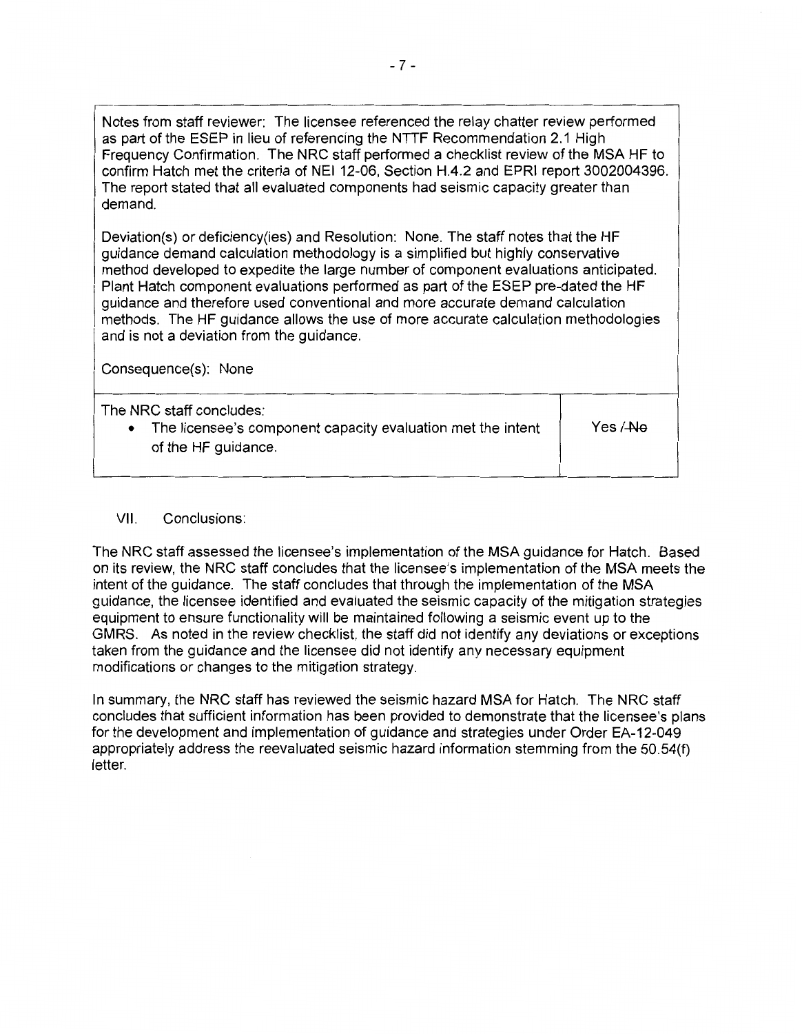Notes from staff reviewer: The licensee referenced the relay chatter review performed as part of the ESEP in lieu of referencing the NTTF Recommendation 2.1 High Frequency Confirmation. The NRC staff performed a checklist review of the MSA HF to confirm Hatch met the criteria of NEI 12-06, Section H.4.2 and EPRI report 3002004396. The report stated that all evaluated components had seismic capacity greater than demand.

Deviation(s) or deficiency(ies) and Resolution: None. The staff notes that the HF guidance demand calculation methodology is a simplified but highly conservative method developed to expedite the large number of component evaluations anticipated. Plant Hatch component evaluations performed as part of the ESEP pre-dated the HF guidance and therefore used conventional and more accurate demand calculation methods. The HF guidance allows the use of more accurate calculation methodologies and is not a deviation from the guidance.

Consequence(s): None

| The NRC staff concludes:<br>The licensee's component capacity evaluation met the intent<br>of the HF guidance. | Yes / <del>-No</del> |
|----------------------------------------------------------------------------------------------------------------|----------------------|
|                                                                                                                |                      |

# VII. Conclusions:

The NRC staff assessed the licensee's implementation of the MSA guidance for Hatch. Based on its review, the NRC staff concludes that the licensee's implementation of the MSA meets the intent of the guidance. The staff concludes that through the implementation of the MSA guidance, the licensee identified and evaluated the seismic capacity of the mitigation strategies equipment to ensure functionality will be maintained following a seismic event up to the GMRS. As noted in the review checklist, the staff did not identify any deviations or exceptions taken from the guidance and the licensee did not identify any necessary equipment modifications or changes to the mitigation strategy.

In summary, the NRC staff has reviewed the seismic hazard MSA for Hatch. The NRC staff concludes that sufficient information has been provided to demonstrate that the licensee's plans for the development and implementation of guidance and strategies under Order EA-12-049 appropriately address the reevaluated seismic hazard information stemming from the 50.54(f) letter.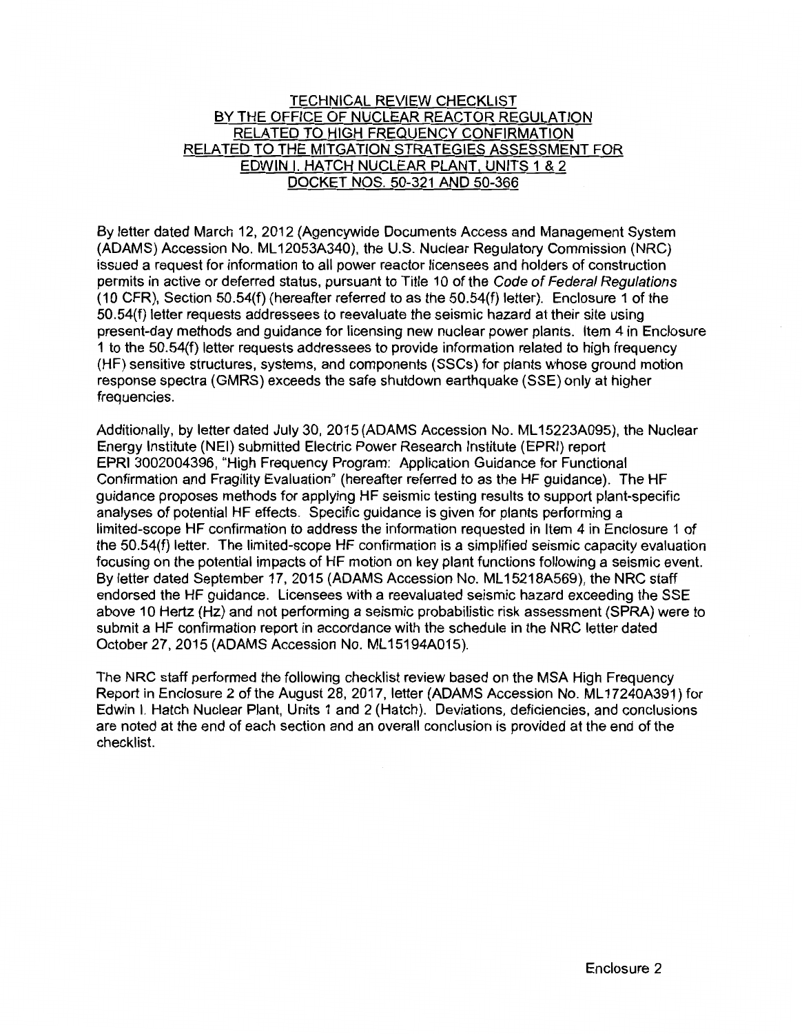## TECHNICAL REVIEW CHECKLIST BY THE OFFICE OF NUCLEAR REACTOR REGULATION RELATED TO HIGH FREQUENCY CONFIRMATION RELATED TO THE MITGATION STRATEGIES ASSESSMENT FOR EDWIN I. HATCH NUCLEAR PLANT, UNITS 1 & 2 DOCKET NOS. 50-321 AND 50-366

By letter dated March 12, 2012 (Agencywide Documents Access and Management System (ADAMS) Accession No. ML 12053A340), the U.S. Nuclear Regulatory Commission (NRG) issued a request for information to all power reactor licensees and holders of construction permits in active or deferred status, pursuant to Title 10 of the Code of Federal Regulations (10 CFR), Section 50.54(f) (hereafter referred to as the 50.54(f) letter). Enclosure 1 of the 50.54(f) letter requests addressees to reevaluate the seismic hazard at their site using present-day methods and guidance for licensing new nuclear power plants. Item 4 in Enclosure 1 to the 50.54(f) letter requests addressees to provide information related to high frequency (HF) sensitive structures, systems, and components (SSCs) for plants whose ground motion response spectra (GMRS) exceeds the safe shutdown earthquake (SSE) only at higher frequencies.

Additionally, by letter dated July 30, 2015 (ADAMS Accession No. ML 15223A095), the Nuclear Energy Institute (NEI) submitted Electric Power Research Institute (EPRI) report EPRI 3002004396, "High Frequency Program: Application Guidance for Functional Confirmation and Fragility Evaluation" (hereafter referred to as the HF guidance). The HF guidance proposes methods for applying HF seismic testing results to support plant-specific analyses of potential HF effects. Specific guidance is given for plants performing a limited-scope HF confirmation to address the information requested in Item 4 in Enclosure 1 of the 50.54(f) letter. The limited-scope HF confirmation is a simplified seismic capacity evaluation focusing on the potential impacts of HF motion on key plant functions following a seismic event. By letter dated September 17, 2015 (ADAMS Accession No. ML 15218A569), the NRC staff endorsed the HF guidance. Licensees with a reevaluated seismic hazard exceeding the SSE above 10 Hertz (Hz) and not performing a seismic probabilistic risk assessment (SPRA) were to submit a HF confirmation report in accordance with the schedule in the NRC letter dated October 27, 2015 (ADAMS Accession No. ML 15194A015).

The NRC staff performed the following checklist review based on the MSA High Frequency Report in Enclosure 2 of the August 28, 2017, letter (ADAMS Accession No. ML 17240A391) for Edwin I. Hatch Nuclear Plant, Units 1 and 2 (Hatch). Deviations, deficiencies, and conclusions are noted at the end of each section and an overall conclusion is provided at the end of the checklist.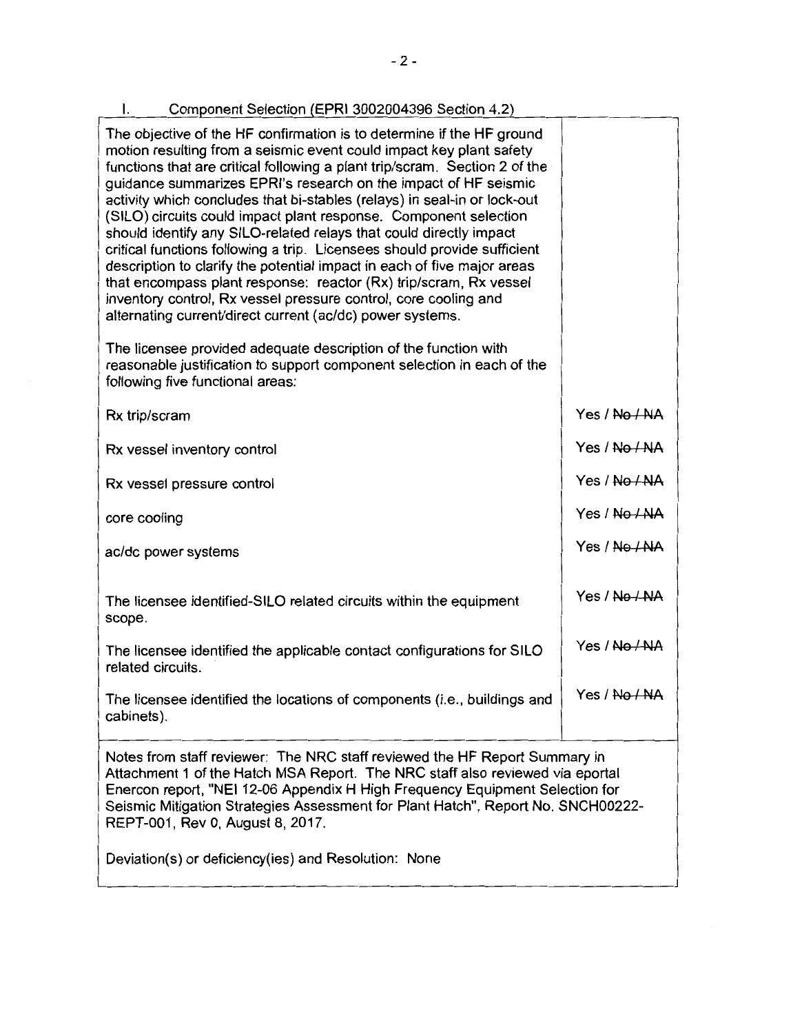| Component Selection (EPRI 3002004396 Section 4.2)<br>I.                                                                                                                                                                                                                                                                                                                                                                                                                                                                                                                                                                                                                                                                                                                                                                                                                         |               |
|---------------------------------------------------------------------------------------------------------------------------------------------------------------------------------------------------------------------------------------------------------------------------------------------------------------------------------------------------------------------------------------------------------------------------------------------------------------------------------------------------------------------------------------------------------------------------------------------------------------------------------------------------------------------------------------------------------------------------------------------------------------------------------------------------------------------------------------------------------------------------------|---------------|
| The objective of the HF confirmation is to determine if the HF ground<br>motion resulting from a seismic event could impact key plant safety<br>functions that are critical following a plant trip/scram. Section 2 of the<br>guidance summarizes EPRI's research on the impact of HF seismic<br>activity which concludes that bi-stables (relays) in seal-in or lock-out<br>(SILO) circuits could impact plant response. Component selection<br>should identify any SILO-related relays that could directly impact<br>critical functions following a trip. Licensees should provide sufficient<br>description to clarify the potential impact in each of five major areas<br>that encompass plant response: reactor (Rx) trip/scram, Rx vessel<br>inventory control, Rx vessel pressure control, core cooling and<br>alternating current/direct current (ac/dc) power systems. |               |
| The licensee provided adequate description of the function with<br>reasonable justification to support component selection in each of the<br>following five functional areas:                                                                                                                                                                                                                                                                                                                                                                                                                                                                                                                                                                                                                                                                                                   |               |
| Rx trip/scram                                                                                                                                                                                                                                                                                                                                                                                                                                                                                                                                                                                                                                                                                                                                                                                                                                                                   | Yes / No / NA |
| Rx vessel inventory control                                                                                                                                                                                                                                                                                                                                                                                                                                                                                                                                                                                                                                                                                                                                                                                                                                                     | Yes / No / NA |
| Rx vessel pressure control                                                                                                                                                                                                                                                                                                                                                                                                                                                                                                                                                                                                                                                                                                                                                                                                                                                      | Yes / No / NA |
| core cooling                                                                                                                                                                                                                                                                                                                                                                                                                                                                                                                                                                                                                                                                                                                                                                                                                                                                    | Yes / No / NA |
| ac/dc power systems                                                                                                                                                                                                                                                                                                                                                                                                                                                                                                                                                                                                                                                                                                                                                                                                                                                             | Yes / No / NA |
| The licensee identified-SILO related circuits within the equipment<br>scope.                                                                                                                                                                                                                                                                                                                                                                                                                                                                                                                                                                                                                                                                                                                                                                                                    | Yes / No / NA |
| The licensee identified the applicable contact configurations for SILO<br>related circuits.                                                                                                                                                                                                                                                                                                                                                                                                                                                                                                                                                                                                                                                                                                                                                                                     | Yes / No / NA |
| The licensee identified the locations of components (i.e., buildings and<br>cabinets).                                                                                                                                                                                                                                                                                                                                                                                                                                                                                                                                                                                                                                                                                                                                                                                          | Yes / No / NA |
| Notes from staff reviewer: The NRC staff reviewed the HF Report Summary in<br>Attachment 1 of the Hatch MSA Report. The NRC staff also reviewed via eportal<br>Enercon report, "NEI 12-06 Appendix H High Frequency Equipment Selection for<br>Seismic Mitigation Strategies Assessment for Plant Hatch", Report No. SNCH00222-<br>REPT-001, Rev 0, August 8, 2017.                                                                                                                                                                                                                                                                                                                                                                                                                                                                                                             |               |
| Deviation(s) or deficiency(ies) and Resolution: None                                                                                                                                                                                                                                                                                                                                                                                                                                                                                                                                                                                                                                                                                                                                                                                                                            |               |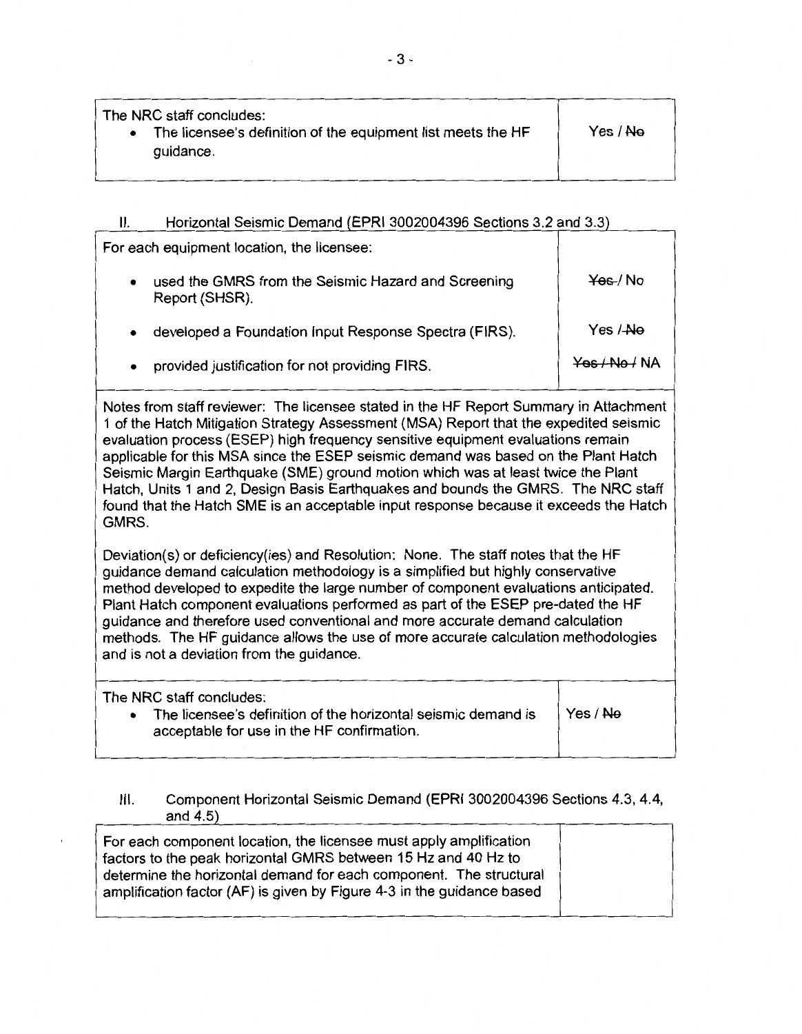| The NRC staff concludes:<br>The licensee's definition of the equipment list meets the HF<br>$\bullet$<br>guidance. | Yes / <del>No</del> |  |
|--------------------------------------------------------------------------------------------------------------------|---------------------|--|
|                                                                                                                    |                     |  |

# II. Horizontal Seismic Demand (EPRI 3002004396 Sections 3.2 and 3.3)

For each equipment location, the licensee: used the GMRS from the Seismic Hazard and Screening Report (SHSR). • developed a Foundation Input Response Spectra (FIRS). • provided justification for not providing FIRS. ¥-es-/ No Yes /-Ne Yes /No/ NA

Notes from staff reviewer: The licensee stated in the HF Report Summary in Attachment 1 of the Hatch Mitigation Strategy Assessment (MSA) Report that the expedited seismic evaluation process (ESEP) high frequency sensitive equipment evaluations remain applicable for this MSA since the ESEP seismic demand was based on the Plant Hatch Seismic Margin Earthquake (SME) ground motion which was at least twice the Plant Hatch, Units 1 and 2, Design Basis Earthquakes and bounds the GMRS. The NRC staff found that the Hatch SME is an acceptable input response because it exceeds the Hatch GMRS.

Deviation(s) or deficiency(ies) and Resolution: None. The staff notes that the HF guidance demand calculation methodology is a simplified but highly conservative method developed to expedite the large number of component evaluations anticipated. Plant Hatch component evaluations performed as part of the ESEP pre-dated the HF guidance and therefore used conventional and more accurate demand calculation methods. The HF guidance allows the use of more accurate calculation methodologies and is not a deviation from the guidance.

| The NRC staff concludes:<br>The licensee's definition of the horizontal seismic demand is<br>$\bullet$<br>acceptable for use in the HF confirmation. | Yes / <del>No</del> |
|------------------------------------------------------------------------------------------------------------------------------------------------------|---------------------|
|                                                                                                                                                      |                     |

# Ill. Component Horizontal Seismic Demand (EPRI 3002004396 Sections 4.3, 4.4, and 4.5)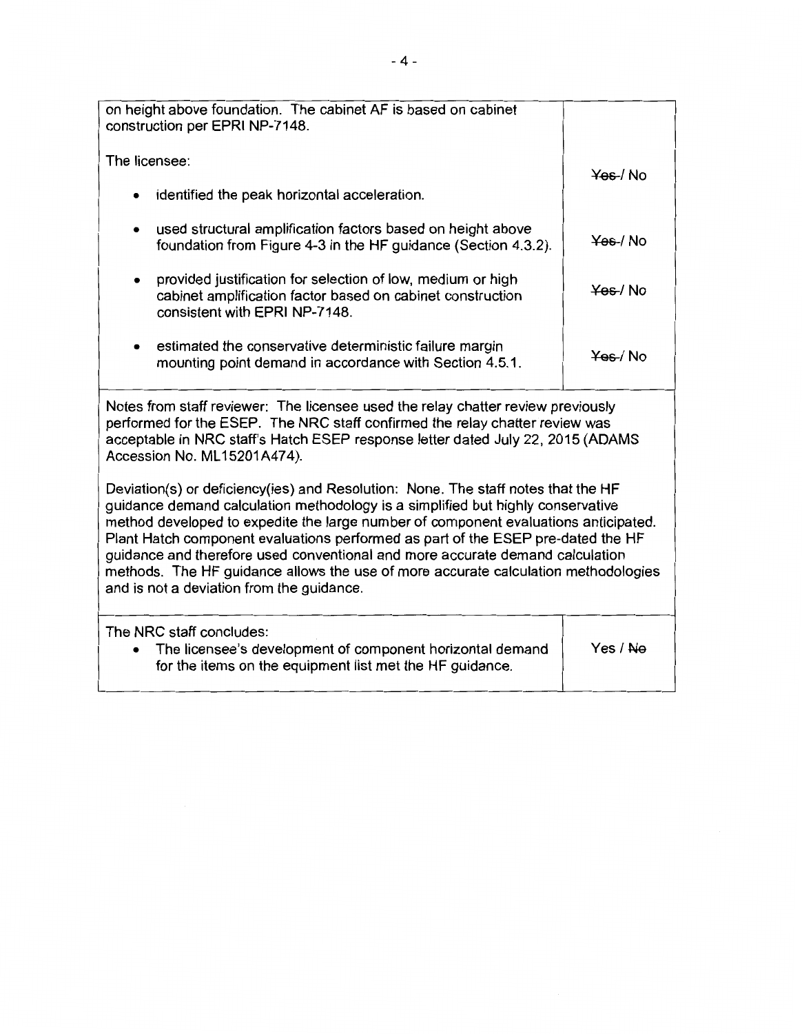| on height above foundation. The cabinet AF is based on cabinet<br>construction per EPRI NP-7148.                                                                                                                                                                                                                                                                                                                                                                                                                                                                    |          |  |
|---------------------------------------------------------------------------------------------------------------------------------------------------------------------------------------------------------------------------------------------------------------------------------------------------------------------------------------------------------------------------------------------------------------------------------------------------------------------------------------------------------------------------------------------------------------------|----------|--|
| The licensee:                                                                                                                                                                                                                                                                                                                                                                                                                                                                                                                                                       | Yes / No |  |
| identified the peak horizontal acceleration.<br>$\bullet$                                                                                                                                                                                                                                                                                                                                                                                                                                                                                                           |          |  |
| used structural amplification factors based on height above<br>$\bullet$<br>foundation from Figure 4-3 in the HF guidance (Section 4.3.2).                                                                                                                                                                                                                                                                                                                                                                                                                          | Yes / No |  |
| provided justification for selection of low, medium or high<br>cabinet amplification factor based on cabinet construction<br>consistent with EPRI NP-7148.                                                                                                                                                                                                                                                                                                                                                                                                          | Yes / No |  |
| estimated the conservative deterministic failure margin<br>mounting point demand in accordance with Section 4.5.1.                                                                                                                                                                                                                                                                                                                                                                                                                                                  | Yes / No |  |
| Notes from staff reviewer: The licensee used the relay chatter review previously<br>performed for the ESEP. The NRC staff confirmed the relay chatter review was<br>acceptable in NRC staff's Hatch ESEP response letter dated July 22, 2015 (ADAMS<br>Accession No. ML15201A474).                                                                                                                                                                                                                                                                                  |          |  |
| Deviation(s) or deficiency(ies) and Resolution: None. The staff notes that the HF<br>guidance demand calculation methodology is a simplified but highly conservative<br>method developed to expedite the large number of component evaluations anticipated.<br>Plant Hatch component evaluations performed as part of the ESEP pre-dated the HF<br>guidance and therefore used conventional and more accurate demand calculation<br>methods. The HF guidance allows the use of more accurate calculation methodologies<br>and is not a deviation from the guidance. |          |  |
| The NRC staff concludes:<br>The licensee's development of component horizontal demand<br>for the items on the equipment list met the HF guidance.                                                                                                                                                                                                                                                                                                                                                                                                                   | Yes / Ne |  |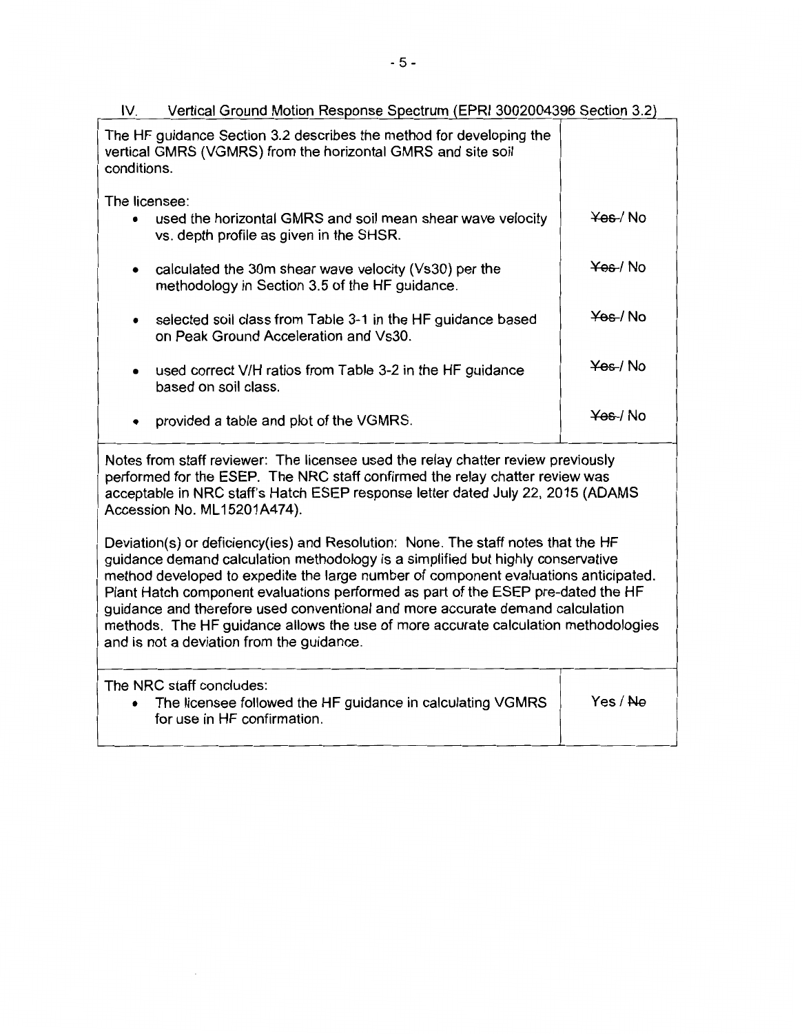| Vertical Ground Motion Response Spectrum (EPRI 3002004396 Section 3.2)<br>IV.                                                                                                                                                                                                      |                     |
|------------------------------------------------------------------------------------------------------------------------------------------------------------------------------------------------------------------------------------------------------------------------------------|---------------------|
| The HF guidance Section 3.2 describes the method for developing the<br>vertical GMRS (VGMRS) from the horizontal GMRS and site soil<br>conditions.                                                                                                                                 |                     |
|                                                                                                                                                                                                                                                                                    |                     |
| The licensee:<br>used the horizontal GMRS and soil mean shear wave velocity<br>vs. depth profile as given in the SHSR.                                                                                                                                                             | Yes / No            |
| calculated the 30m shear wave velocity (Vs30) per the<br>methodology in Section 3.5 of the HF guidance.                                                                                                                                                                            | <del>Yes</del> / No |
| selected soil class from Table 3-1 in the HF guidance based<br>on Peak Ground Acceleration and Vs30.                                                                                                                                                                               | <del>Yes</del> / No |
| used correct V/H ratios from Table 3-2 in the HF guidance<br>based on soil class.                                                                                                                                                                                                  | Yes / No            |
| provided a table and plot of the VGMRS.                                                                                                                                                                                                                                            | <del>Yes</del> /No  |
| Notes from staff reviewer: The licensee used the relay chatter review previously<br>performed for the ESEP. The NRC staff confirmed the relay chatter review was<br>acceptable in NRC staff's Hatch ESEP response letter dated July 22, 2015 (ADAMS<br>Accession No. ML15201A474). |                     |
| Doviation(s) or deficiency(ies) and Pesolution: None The staff notes that the HF                                                                                                                                                                                                   |                     |

Deviation(s) or deficiency(ies) and Resolution: None. The staff notes that the HF guidance demand calculation methodology is a simplified but highly conservative method developed to expedite the large number of component evaluations anticipated. Plant Hatch component evaluations performed as part of the ESEP pre-dated the HF guidance and therefore used conventional and more accurate demand calculation methods. The HF guidance allows the use of more accurate calculation methodologies and is not a deviation from the guidance.

The NRC staff concludes: • The licensee followed the HF guidance in calculating VGMRS for use in HF confirmation. Yes/ Ne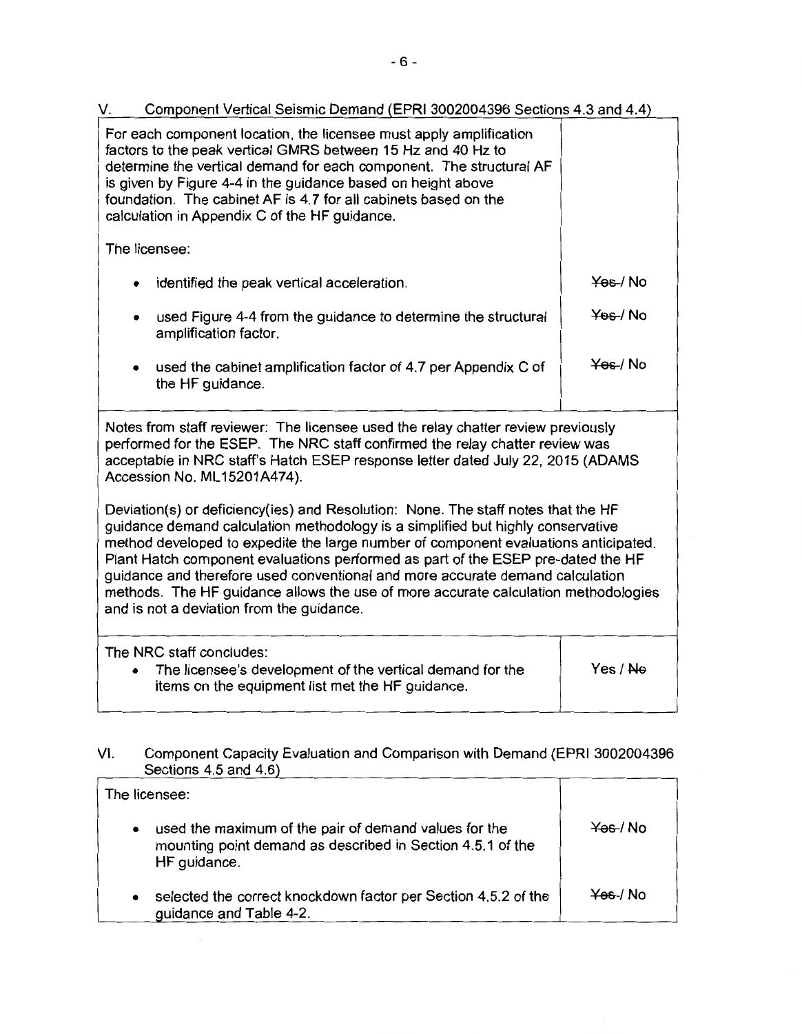V. Component Vertical Seismic Demand (EPRI 3002004396 Sections 4.3 and 4.4) For each component location, the licensee must apply amplification factors to the peak vertical GMRS between 15 Hz and 40 Hz to determine the vertical demand for each component. The structural AF is given by Figure 4-4 in the guidance based on height above foundation. The cabinet AF is 4.7 for all cabinets based on the calculation in Appendix C of the HF guidance. The licensee: identified the peak vertical acceleration. used Figure 4-4 from the guidance to determine the structural amplification factor. used the cabinet amplification factor of 4.7 per Appendix C of the HF guidance. ¥-es-/ No  $\frac{4}{6}$  Mo  $\frac{Y}{100}$ / No Notes from staff reviewer: The licensee used the relay chatter review previously performed for the ESEP. The NRC staff confirmed the relay chatter review was acceptable in NRC staff's Hatch ESEP response letter dated July 22, 2015 (ADAMS Accession No. ML 15201A474). Deviation(s) or deficiency(ies) and Resolution: None. The staff notes that the HF guidance demand calculation methodology is a simplified but highly conservative method developed to expedite the large number of component evaluations anticipated. Plant Hatch component evaluations performed as part of the ESEP pre-dated the HF guidance and therefore used conventional and more accurate demand calculation methods. The HF guidance allows the use of more accurate calculation methodologies and is not a deviation from the guidance.

The NRC staff concludes: • The licensee's development of the vertical demand for the items on the equipment list met the HF guidance. Yes/ Ne

## VI. Component Capacity Evaluation and Comparison with Demand (EPRI 3002004396 Sections 4.5 and 4.6)

| The licensee: |                                                                                                                                     |          |
|---------------|-------------------------------------------------------------------------------------------------------------------------------------|----------|
| $\bullet$     | used the maximum of the pair of demand values for the<br>mounting point demand as described in Section 4.5.1 of the<br>HF guidance. | Yes / No |
| $\bullet$     | selected the correct knockdown factor per Section 4.5.2 of the<br>guidance and Table 4-2.                                           | Yes / No |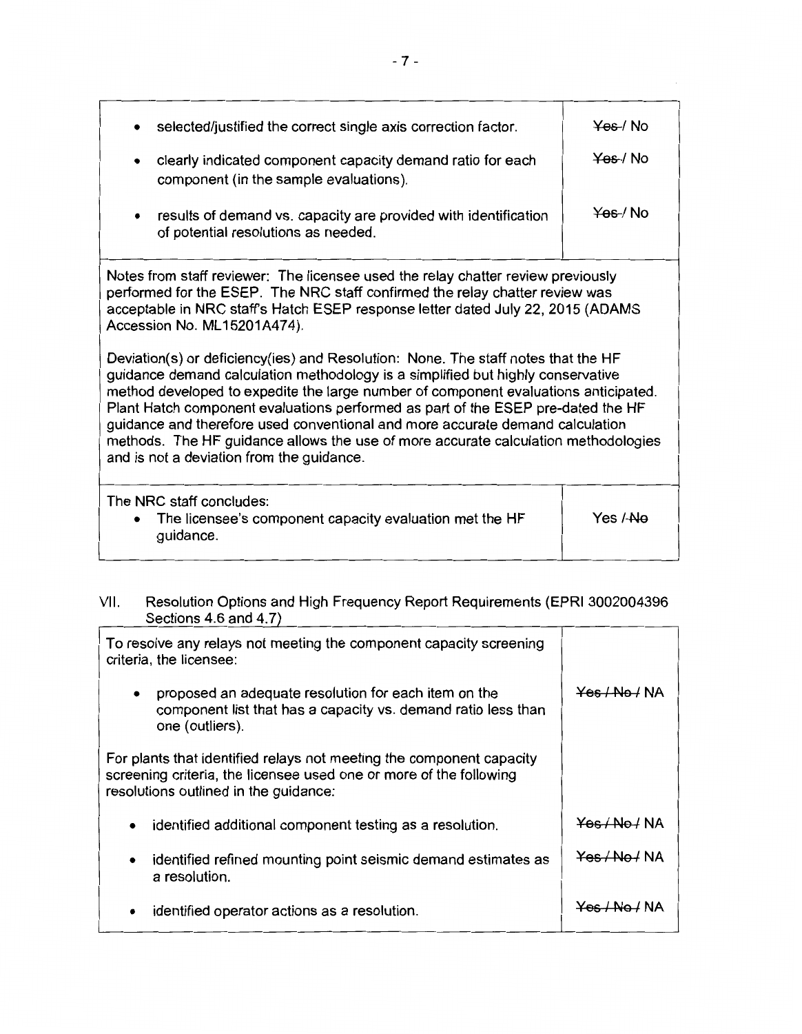| selected/justified the correct single axis correction factor.                                                                                                                                                                                                                                                                                                                                                                                                                                                                                                       | Yes / No |
|---------------------------------------------------------------------------------------------------------------------------------------------------------------------------------------------------------------------------------------------------------------------------------------------------------------------------------------------------------------------------------------------------------------------------------------------------------------------------------------------------------------------------------------------------------------------|----------|
| clearly indicated component capacity demand ratio for each<br>component (in the sample evaluations).                                                                                                                                                                                                                                                                                                                                                                                                                                                                | Yes / No |
| results of demand vs. capacity are provided with identification<br>$\bullet$<br>of potential resolutions as needed.                                                                                                                                                                                                                                                                                                                                                                                                                                                 | Yes / No |
| Notes from staff reviewer: The licensee used the relay chatter review previously<br>performed for the ESEP. The NRC staff confirmed the relay chatter review was<br>acceptable in NRC staff's Hatch ESEP response letter dated July 22, 2015 (ADAMS<br>Accession No. ML15201A474).                                                                                                                                                                                                                                                                                  |          |
| Deviation(s) or deficiency(ies) and Resolution: None. The staff notes that the HF<br>guidance demand calculation methodology is a simplified but highly conservative<br>method developed to expedite the large number of component evaluations anticipated.<br>Plant Hatch component evaluations performed as part of the ESEP pre-dated the HF<br>guidance and therefore used conventional and more accurate demand calculation<br>methods. The HF guidance allows the use of more accurate calculation methodologies<br>and is not a deviation from the guidance. |          |
| The NRC staff concludes:<br>The licensee's component capacity evaluation met the HF<br>guidance.                                                                                                                                                                                                                                                                                                                                                                                                                                                                    | Yes / No |
|                                                                                                                                                                                                                                                                                                                                                                                                                                                                                                                                                                     |          |

## VII. Resolution Options and High Frequency Report Requirements (EPRI 3002004396 Sections 4.6 and 4.7)

| To resolve any relays not meeting the component capacity screening<br>criteria, the licensee:                                                                                       |                          |
|-------------------------------------------------------------------------------------------------------------------------------------------------------------------------------------|--------------------------|
| proposed an adequate resolution for each item on the<br>$\bullet$<br>component list that has a capacity vs. demand ratio less than<br>one (outliers).                               | <del>Yes / No /</del> NA |
| For plants that identified relays not meeting the component capacity<br>screening criteria, the licensee used one or more of the following<br>resolutions outlined in the guidance: |                          |
| identified additional component testing as a resolution.<br>$\bullet$                                                                                                               | Yes / No / NA            |
| identified refined mounting point seismic demand estimates as<br>$\bullet$<br>a resolution.                                                                                         | <del>Yes / No /</del> NA |
| identified operator actions as a resolution.                                                                                                                                        | Yes / No / NA            |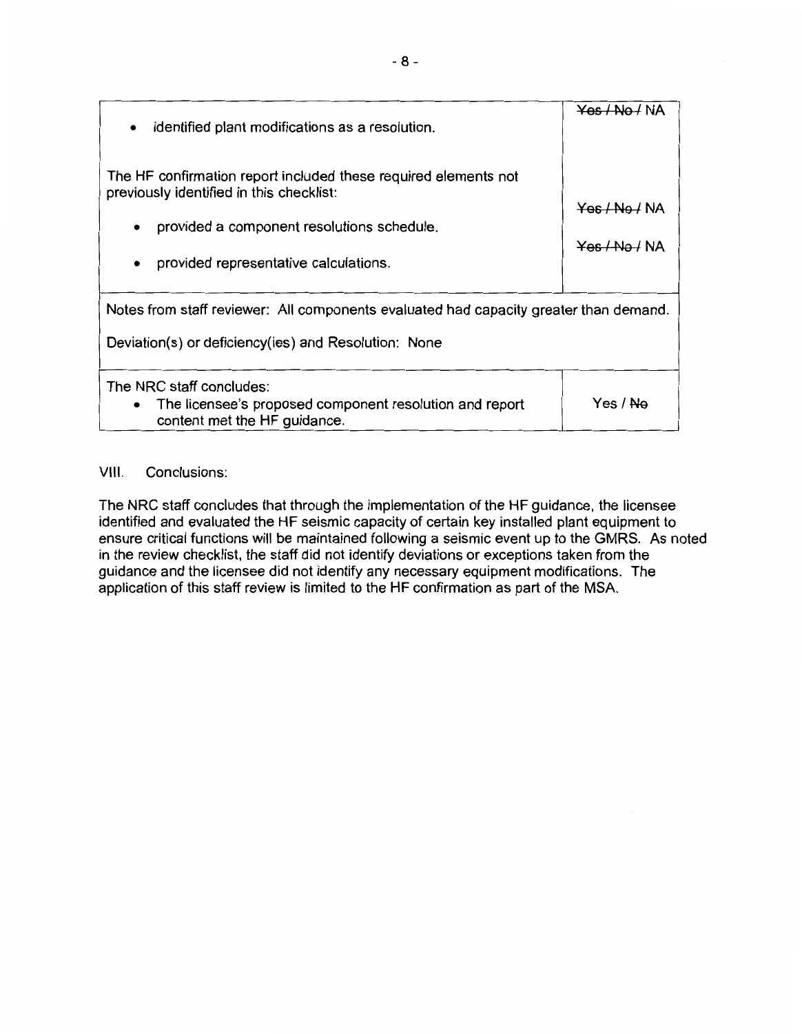| identified plant modifications as a resolution.<br>$\bullet$                                                                                                                                       | Yes / No / NA                                              |  |
|----------------------------------------------------------------------------------------------------------------------------------------------------------------------------------------------------|------------------------------------------------------------|--|
| The HF confirmation report included these required elements not<br>previously identified in this checklist:<br>provided a component resolutions schedule.<br>provided representative calculations. | <del>Yes / No /</del> NA<br>$Y$ es $\Delta$ No $\Delta$ NA |  |
| Notes from staff reviewer: All components evaluated had capacity greater than demand.<br>Deviation(s) or deficiency(ies) and Resolution: None                                                      |                                                            |  |
| The NRC staff concludes:<br>The licensee's proposed component resolution and report<br>content met the HF guidance.                                                                                | Yes / <del>No</del>                                        |  |

# VIII. Conclusions:

The NRC staff concludes that through the implementation of the **HF** guidance, the licensee identified and evaluated the HF seismic capacity of certain key installed plant equipment to ensure critical functions will be maintained following a seismic event up to the GMRS. As noted in the review checklist, the staff did not identify deviations or exceptions taken from the guidance and the licensee did not identify any necessary equipment modifications. The application of this staff review is limited to the **HF** confirmation as part of the MSA.